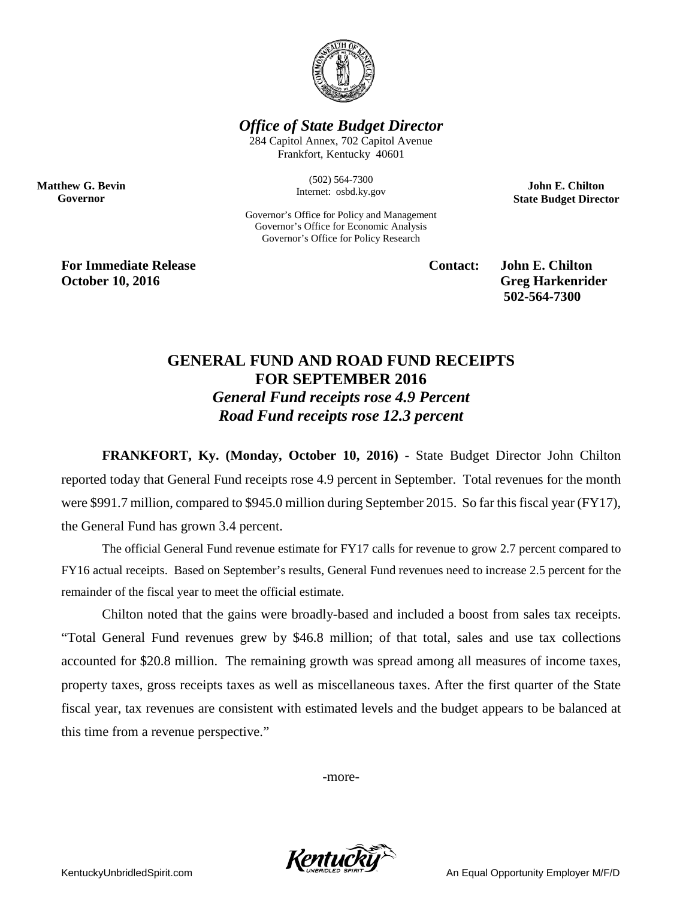

*Office of State Budget Director*

284 Capitol Annex, 702 Capitol Avenue Frankfort, Kentucky 40601

> (502) 564-7300 Internet: osbd.ky.gov

Governor's Office for Policy and Management Governor's Office for Economic Analysis Governor's Office for Policy Research

**John E. Chilton State Budget Director**

**For Immediate Release Contact: John E. Chilton October 10, 2016** Greg Harkenrider

**Matthew G. Bevin Governor**

**502-564-7300** 

## **GENERAL FUND AND ROAD FUND RECEIPTS FOR SEPTEMBER 2016** *General Fund receipts rose 4.9 Percent Road Fund receipts rose 12.3 percent*

**FRANKFORT, Ky. (Monday, October 10, 2016)** - State Budget Director John Chilton reported today that General Fund receipts rose 4.9 percent in September. Total revenues for the month were \$991.7 million, compared to \$945.0 million during September 2015. So far this fiscal year (FY17), the General Fund has grown 3.4 percent.

The official General Fund revenue estimate for FY17 calls for revenue to grow 2.7 percent compared to FY16 actual receipts. Based on September's results, General Fund revenues need to increase 2.5 percent for the remainder of the fiscal year to meet the official estimate.

Chilton noted that the gains were broadly-based and included a boost from sales tax receipts. "Total General Fund revenues grew by \$46.8 million; of that total, sales and use tax collections accounted for \$20.8 million. The remaining growth was spread among all measures of income taxes, property taxes, gross receipts taxes as well as miscellaneous taxes. After the first quarter of the State fiscal year, tax revenues are consistent with estimated levels and the budget appears to be balanced at this time from a revenue perspective."

-more-



KentuckyUnbridledSpirit.com An Equal Opportunity Employer M/F/D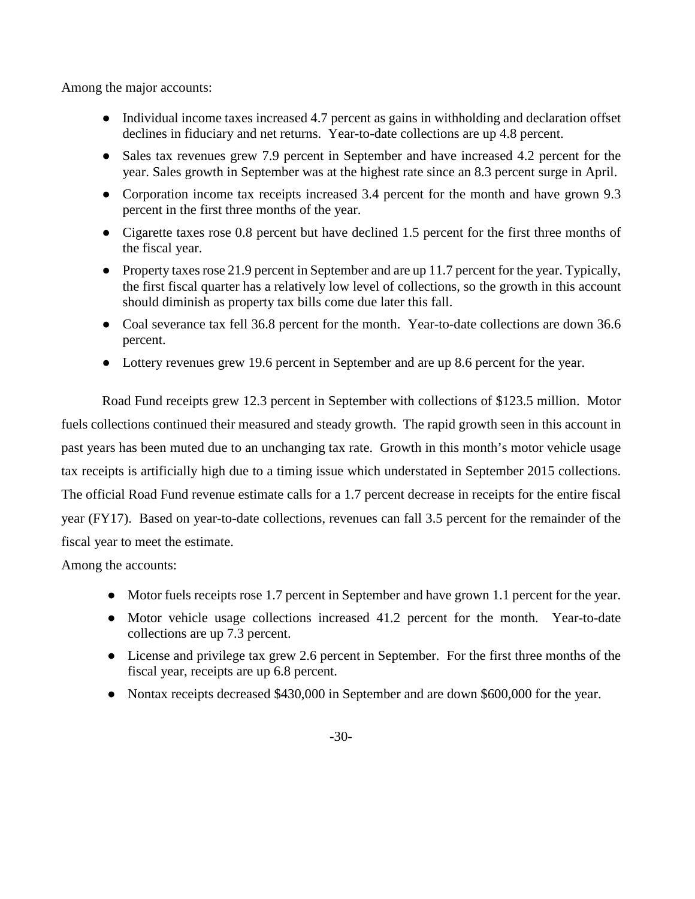Among the major accounts:

- Individual income taxes increased 4.7 percent as gains in withholding and declaration offset declines in fiduciary and net returns. Year-to-date collections are up 4.8 percent.
- Sales tax revenues grew 7.9 percent in September and have increased 4.2 percent for the year. Sales growth in September was at the highest rate since an 8.3 percent surge in April.
- Corporation income tax receipts increased 3.4 percent for the month and have grown 9.3 percent in the first three months of the year.
- Cigarette taxes rose 0.8 percent but have declined 1.5 percent for the first three months of the fiscal year.
- Property taxes rose 21.9 percent in September and are up 11.7 percent for the year. Typically, the first fiscal quarter has a relatively low level of collections, so the growth in this account should diminish as property tax bills come due later this fall.
- Coal severance tax fell 36.8 percent for the month. Year-to-date collections are down 36.6 percent.
- Lottery revenues grew 19.6 percent in September and are up 8.6 percent for the year.

Road Fund receipts grew 12.3 percent in September with collections of \$123.5 million. Motor fuels collections continued their measured and steady growth. The rapid growth seen in this account in past years has been muted due to an unchanging tax rate. Growth in this month's motor vehicle usage tax receipts is artificially high due to a timing issue which understated in September 2015 collections. The official Road Fund revenue estimate calls for a 1.7 percent decrease in receipts for the entire fiscal year (FY17). Based on year-to-date collections, revenues can fall 3.5 percent for the remainder of the fiscal year to meet the estimate.

Among the accounts:

- Motor fuels receipts rose 1.7 percent in September and have grown 1.1 percent for the year.
- Motor vehicle usage collections increased 41.2 percent for the month. Year-to-date collections are up 7.3 percent.
- License and privilege tax grew 2.6 percent in September. For the first three months of the fiscal year, receipts are up 6.8 percent.
- Nontax receipts decreased \$430,000 in September and are down \$600,000 for the year.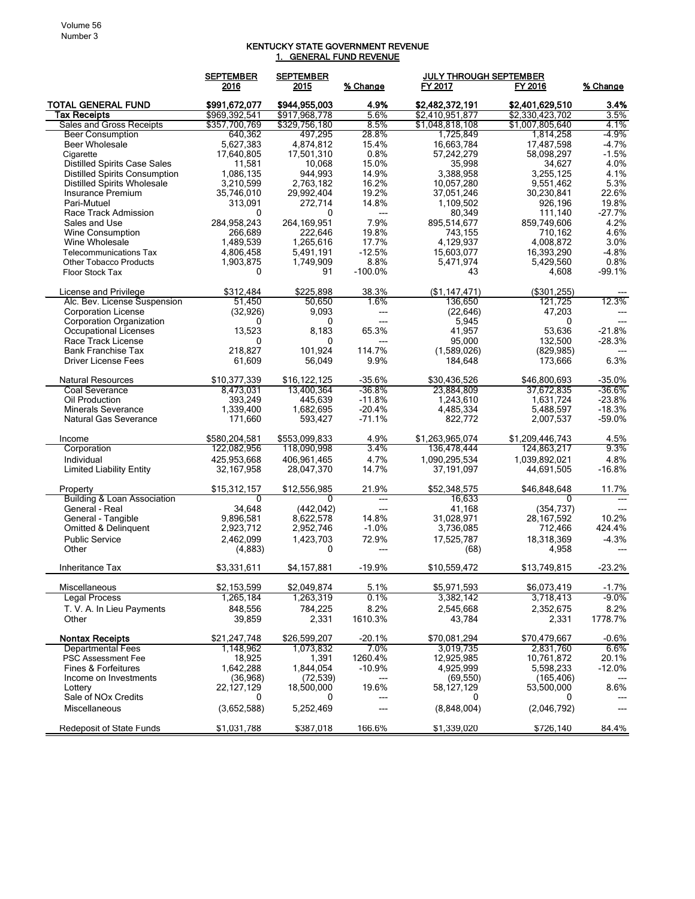## KENTUCKY STATE GOVERNMENT REVENUE 1. GENERAL FUND REVENUE

|                                                  | <b>SEPTEMBER</b><br>2016 | <b>SEPTEMBER</b><br>2015 | % Change                 | <b>JULY THROUGH SEPTEMBER</b><br>FY 2017 | FY 2016                  | % Change           |
|--------------------------------------------------|--------------------------|--------------------------|--------------------------|------------------------------------------|--------------------------|--------------------|
| <b>TOTAL GENERAL FUND</b>                        | \$991,672,077            | \$944,955,003            | 4.9%                     | \$2,482,372,191                          | \$2,401,629,510          | 3.4%               |
| Tax Receipts                                     | \$969,392,541            | \$917,968,778            | 5.6%                     | \$2,410,951,877                          | \$2,330,423,702          | 3.5%               |
| Sales and Gross Receipts                         | \$357,700,769<br>640.362 | \$329,756,180            | 8.5%                     | \$1,048,818,108<br>1.725.849             | \$1,007,805,640          | 4.1%<br>-4.9%      |
| <b>Beer Consumption</b>                          |                          | 497,295                  | 28.8%                    |                                          | 1,814,258                |                    |
| <b>Beer Wholesale</b>                            | 5,627,383<br>17,640,805  | 4,874,812<br>17,501,310  | 15.4%<br>0.8%            | 16,663,784<br>57,242,279                 | 17,487,598<br>58,098,297 | $-4.7%$<br>$-1.5%$ |
| Cigarette<br><b>Distilled Spirits Case Sales</b> | 11,581                   | 10,068                   | 15.0%                    | 35,998                                   | 34,627                   | 4.0%               |
| <b>Distilled Spirits Consumption</b>             | 1,086,135                | 944,993                  | 14.9%                    | 3,388,958                                | 3,255,125                | 4.1%               |
| <b>Distilled Spirits Wholesale</b>               | 3,210,599                | 2,763,182                | 16.2%                    | 10,057,280                               | 9,551,462                | 5.3%               |
| Insurance Premium                                | 35,746,010               | 29,992,404               | 19.2%                    | 37,051,246                               | 30,230,841               | 22.6%              |
| Pari-Mutuel                                      | 313,091                  | 272.714                  | 14.8%                    | 1,109,502                                | 926,196                  | 19.8%              |
| Race Track Admission                             | 0                        | 0                        | $\overline{a}$           | 80,349                                   | 111,140                  | $-27.7%$           |
| Sales and Use                                    | 284,958,243              | 264.169.951              | 7.9%                     | 895,514,677                              | 859,749,606              | 4.2%               |
| Wine Consumption                                 | 266,689                  | 222,646                  | 19.8%                    | 743,155                                  | 710,162                  | 4.6%               |
| Wine Wholesale                                   | 1,489,539                | 1,265,616                | 17.7%                    | 4,129,937                                | 4,008,872                | 3.0%               |
| <b>Telecommunications Tax</b>                    | 4,806,458                | 5,491,191                | $-12.5%$                 | 15,603,077                               | 16,393,290               | $-4.8%$            |
| <b>Other Tobacco Products</b>                    | 1,903,875                | 1,749,909                | 8.8%                     | 5,471,974                                | 5,429,560                | 0.8%               |
| Floor Stock Tax                                  | 0                        | 91                       | $-100.0%$                | 43                                       | 4,608                    | $-99.1%$           |
| License and Privilege                            | \$312,484                | \$225,898                | 38.3%                    | (\$1,147,471)                            | (\$301,255)              |                    |
| Alc. Bev. License Suspension                     | 51,450                   | 50,650                   | 1.6%                     | 136,650                                  | 121,725                  | 12.3%              |
| <b>Corporation License</b>                       | (32, 926)                | 9,093                    | ---                      | (22, 646)                                | 47,203                   |                    |
| <b>Corporation Organization</b>                  | 0                        | 0                        | $---$                    | 5,945                                    | 0                        | ---                |
| Occupational Licenses                            | 13,523                   | 8,183                    | 65.3%                    | 41,957                                   | 53,636                   | $-21.8%$           |
| Race Track License                               | 0                        | 0                        | ---                      | 95,000                                   | 132,500                  | $-28.3%$           |
| <b>Bank Franchise Tax</b>                        | 218,827                  | 101,924                  | 114.7%                   | (1,589,026)                              | (829, 985)               |                    |
| <b>Driver License Fees</b>                       | 61,609                   | 56,049                   | 9.9%                     | 184,648                                  | 173,666                  | 6.3%               |
| <b>Natural Resources</b>                         | \$10,377,339             | \$16,122,125             | $-35.6%$                 | \$30,436,526                             | \$46,800,693             | $-35.0%$           |
| Coal Severance                                   | 8,473,031                | 13,400,364               | $-36.8%$                 | 23,884,809                               | 37,672,835               | $-36.6\%$          |
| Oil Production                                   | 393,249                  | 445,639                  | $-11.8%$                 | 1,243,610                                | 1,631,724                | $-23.8%$           |
| <b>Minerals Severance</b>                        | 1,339,400                | 1,682,695                | $-20.4%$                 | 4,485,334                                | 5,488,597                | $-18.3%$           |
| Natural Gas Severance                            | 171,660                  | 593,427                  | $-71.1%$                 | 822,772                                  | 2,007,537                | $-59.0%$           |
| Income                                           | \$580,204,581            | \$553,099,833            | 4.9%                     | \$1,263,965,074                          | \$1,209,446,743          | 4.5%               |
| Corporation                                      | 122,082,956              | 118,090,998              | 3.4%                     | 136,478,444                              | 124,863,217              | 9.3%               |
| Individual                                       | 425,953,668              | 406,961,465              | 4.7%                     | 1,090,295,534                            | 1,039,892,021            | 4.8%               |
| <b>Limited Liability Entity</b>                  | 32,167,958               | 28,047,370               | 14.7%                    | 37,191,097                               | 44,691,505               | $-16.8%$           |
| Property                                         | \$15,312,157             | \$12,556,985             | 21.9%                    | \$52,348,575                             | \$46,848,648             | 11.7%              |
| <b>Building &amp; Loan Association</b>           | 0                        | 0                        | ---                      | 16,633                                   | 0                        |                    |
| General - Real                                   | 34,648                   | (442, 042)               | $\hspace{0.05cm} \ldots$ | 41,168                                   | (354, 737)               |                    |
| General - Tangible                               | 9,896,581                | 8,622,578                | 14.8%                    | 31,028,971                               | 28, 167, 592             | 10.2%              |
| Omitted & Delinquent                             | 2,923,712                | 2,952,746                | $-1.0%$                  | 3,736,085                                | 712,466                  | 424.4%             |
| <b>Public Service</b>                            | 2,462,099                | 1,423,703                | 72.9%                    | 17,525,787                               | 18,318,369               | $-4.3%$            |
| Other                                            | (4,883)                  | 0                        |                          | (68)                                     | 4,958                    |                    |
| Inheritance Tax                                  | \$3,331,611              | \$4,157,881              | $-19.9%$                 | \$10,559,472                             | \$13,749,815             | $-23.2%$           |
| Miscellaneous                                    | \$2,153,599              | \$2,049,874              | 5.1%                     | \$5,971,593                              | \$6,073,419              | $-1.7%$            |
| Legal Process                                    | 1,265,184                | 1,263,319                | 0.1%                     | 3,382,142                                | 3,718,413                | -9.0%              |
| T. V. A. In Lieu Payments                        | 848.556                  | 784,225                  | 8.2%                     | 2,545,668                                | 2,352,675                | 8.2%               |
| Other                                            | 39,859                   | 2,331                    | 1610.3%                  | 43,784                                   | 2,331                    | 1778.7%            |
| <b>Nontax Receipts</b>                           | \$21,247,748             | \$26,599,207             | $-20.1%$                 | \$70,081,294                             | \$70,479,667             | $-0.6%$            |
| <b>Departmental Fees</b>                         | 1,148,962                | 1,073,832                | 7.0%                     | 3,019,735                                | 2,831,760                | $6.6\%$            |
| <b>PSC Assessment Fee</b>                        | 18,925                   | 1,391                    | 1260.4%                  | 12,925,985                               | 10,761,872               | 20.1%              |
| Fines & Forfeitures                              | 1,642,288                | 1,844,054                | $-10.9%$                 | 4,925,999                                | 5,598,233                | $-12.0%$           |
| Income on Investments                            | (36,968)                 | (72, 539)                |                          | (69, 550)                                | (165, 406)               |                    |
| Lottery                                          | 22, 127, 129             | 18,500,000               | 19.6%                    | 58,127,129                               | 53,500,000               | 8.6%               |
| Sale of NOx Credits<br>Miscellaneous             | 0<br>(3,652,588)         | 0<br>5,252,469           | ---                      | 0<br>(8,848,004)                         | 0<br>(2,046,792)         |                    |
| Redeposit of State Funds                         | \$1,031,788              | \$387,018                | 166.6%                   | \$1,339,020                              | \$726,140                | 84.4%              |
|                                                  |                          |                          |                          |                                          |                          |                    |